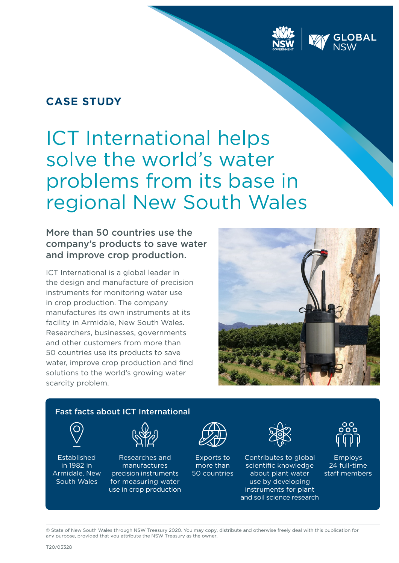## **CASE STUDY**

# ICT International helps solve the world's water problems from its base in regional New South Wales

### More than 50 countries use the company's products to save water and improve crop production.

ICT International is a global leader in the design and manufacture of precision instruments for monitoring water use in crop production. The company manufactures its own instruments at its facility in Armidale, New South Wales. Researchers, businesses, governments and other customers from more than 50 countries use its products to save water, improve crop production and find solutions to the world's growing water scarcity problem.





© State of New South Wales through NSW Treasury 2020. You may copy, distribute and otherwise freely deal with this publication for any purpose, provided that you attribute the NSW Treasury as the owner.